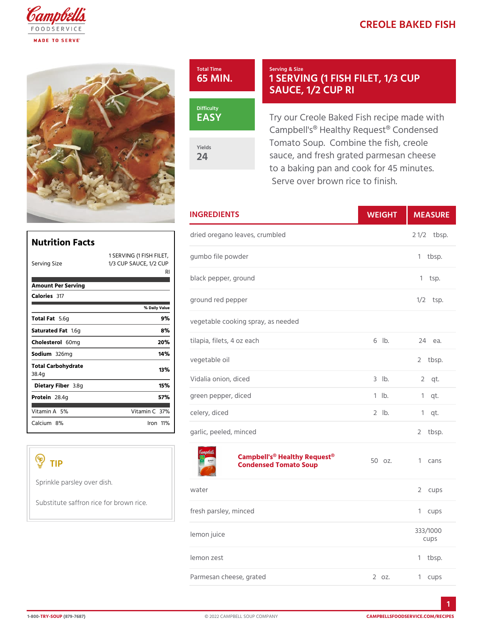## CREOLE BAKED



EASY

Yields 24

## Serving & Size 1 SERVING (1 FISH FILE SAUCE, 1/2 CUP RI

Try our Creole Baked Fish recip Campbell's® Healthy Request® Tomato Soup. Combine the fish sauce, and fresh grated parmes to a baking pan and cook for 45 Serve over brown rice to finish

|                                            | <b>INGREDIENTS</b>                       |             | WEIGH MEASU          |
|--------------------------------------------|------------------------------------------|-------------|----------------------|
| Nutrition Facts                            | dried oregano leaves, crumbled           |             | $2 \frac{1}{2}$ bsp. |
| $1/3$ CUP SAUCE, $1/2$ CUP<br>Serving Size | 1 SERVING (1 FISH gFU h FbTo file powder |             | 1 tbsp.              |
| Amount Per Serving                         | R.<br>black pepper, ground               |             | 1 tsp.               |
| Calorie3s17<br>% Daily Value               | ground red pepper                        |             | $1/2$ tsp.           |
| Total F5a.t6q                              | 9%<br>vegetable cooking spray, as needed |             |                      |
| Saturated 1F. Sig                          | 8 %                                      |             |                      |
| Choleste 60 lm g                           | tilapia, filets, 4 oz each<br>20%        | $6$ $ b$ .  | $24$ ea.             |
| Sodium 326mg                               | 14 %<br>vegetable oil                    |             | 2 tbsp.              |
| Total Carbohydrate<br>38.4g                | 13%                                      |             |                      |
| Dietary F3ib⪚                              | Vidalia onion, diced<br>15%              | $3$ $ b $ . | $2$ qt.              |
| Protei <sub>28.4g</sub>                    | green pepper, diced<br>57%               | $1$ $1b$ .  | $1$ qt.              |
| Vitamin5A%<br>Vitamin3 $C$ %               | celery, diced                            | $2$ $1b$ .  | $1$ qt.              |
| Calcium <sup>80%</sup><br>$l$ ron 11 $%$   | garlic, peeled, minced                   |             | 2 tbsp.              |

| TIP                                     | Campbell's® Healthy Request®z.<br>Condensed Tomato Soup |  | 1 cans           |
|-----------------------------------------|---------------------------------------------------------|--|------------------|
| Sprinkle parsley over dish.             | water                                                   |  | CUDS             |
| Substitute saffron rice for brown rice. | fresh parsley, minced                                   |  | 1 cups           |
|                                         | lemon juice                                             |  | 333/1000<br>CUDS |

lemon zest

Parmesan cheese, grated 2 oz. 1 cups

1

1 tbsp.